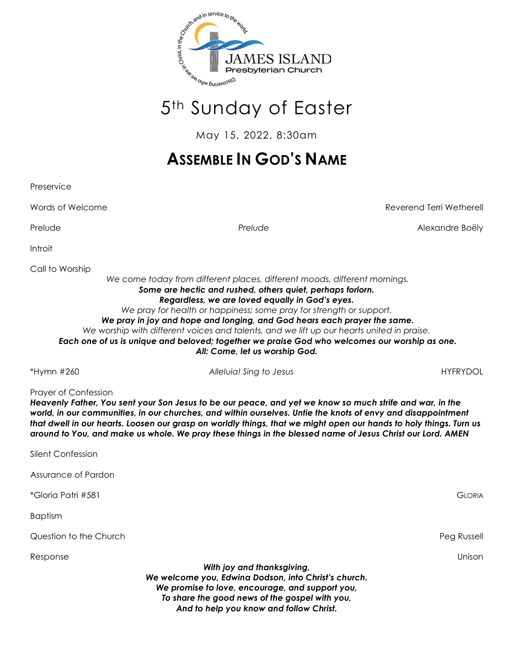

# 5th Sunday of Easter

May 15, 2022, 8:30am

## **ASSEMBLE IN GOD'S NAME**

Preservice Words of Welcome Reverend Terri Wetherell Prelude *Prelude* Alexandre Boëly Introit Call to Worship *We come today from different places, different moods, different mornings. Some are hectic and rushed, others quiet, perhaps forlorn. Regardless, we are loved equally in God's eyes. We pray for health or happiness; some pray for strength or support. We pray in joy and hope and longing, and God hears each prayer the same. We worship with different voices and talents, and we lift up our hearts united in praise. Each one of us is unique and beloved; together we praise God who welcomes our worship as one. All: Come, let us worship God.* \*Hymn #260 *Alleluia! Sing to Jesus* HYFRYDOL Prayer of Confession *Heavenly Father, You sent your Son Jesus to be our peace, and yet we know so much strife and war, in the world, in our communities, in our churches, and within ourselves. Untie the knots of envy and disappointment that dwell in our hearts. Loosen our grasp on worldly things, that we might open our hands to holy things. Turn us around to You, and make us whole. We pray these things in the blessed name of Jesus Christ our Lord. AMEN* Silent Confession Assurance of Pardon \*Gloria Patri #581 GLORIA Baptism Question to the Church Peg Russell Response Unison *With joy and thanksgiving, We welcome you, Edwina Dodson, into Christ's church. We promise to love, encourage, and support you, To share the good news of the gospel with you, And to help you know and follow Christ.*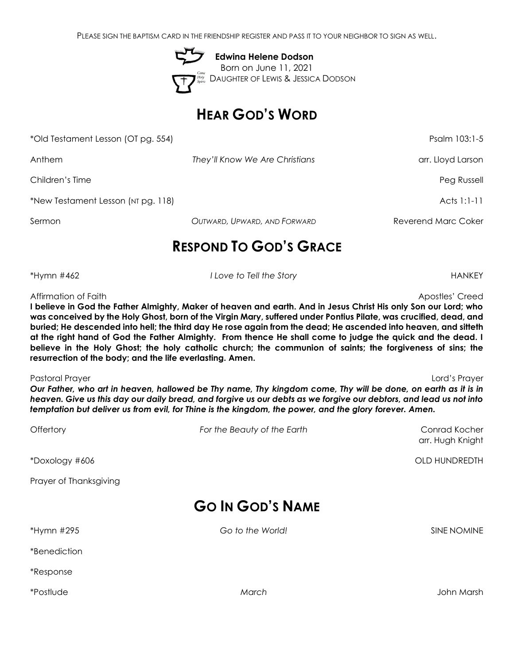PLEASE SIGN THE BAPTISM CARD IN THE FRIENDSHIP REGISTER AND PASS IT TO YOUR NEIGHBOR TO SIGN AS WELL.

 **Edwina Helene Dodson** Born on June 11, 2021 DAUGHTER OF LEWIS & JESSICA DODSON

## **HEAR GOD'S WORD**

\*Old Testament Lesson (OT pg. 554) Psalm 103:1-5

Anthem *They'll Know We Are Christians* arr. Lloyd Larson

Children's Time Peg Russell

\*New Testament Lesson (NT pg. 118) Acts 1:1-11

Sermon *OUTWARD, UPWARD, AND FORWARD* Reverend Marc Coker

## **RESPOND TO GOD'S GRACE**

\*Hymn #462 *I Love to Tell the Story* HANKEY

Affirmation of Faith Apostles' Creed Apostles' Creed Apostles' Creed

**I believe in God the Father Almighty, Maker of heaven and earth. And in Jesus Christ His only Son our Lord; who was conceived by the Holy Ghost, born of the Virgin Mary, suffered under Pontius Pilate, was crucified, dead, and buried; He descended into hell; the third day He rose again from the dead; He ascended into heaven, and sitteth at the right hand of God the Father Almighty. From thence He shall come to judge the quick and the dead. I believe in the Holy Ghost; the holy catholic church; the communion of saints; the forgiveness of sins; the resurrection of the body; and the life everlasting. Amen.**

Pastoral Prayer Lord's Prayer *Our Father, who art in heaven, hallowed be Thy name, Thy kingdom come, Thy will be done, on earth as it is in heaven. Give us this day our daily bread, and forgive us our debts as we forgive our debtors, and lead us not into temptation but deliver us from evil, for Thine is the kingdom, the power, and the glory forever. Amen.*

| Offertory               | For the Beauty of the Earth | Conrad Kocher<br>arr. Hugh Knight |  |  |  |
|-------------------------|-----------------------------|-----------------------------------|--|--|--|
| *Doxology #606          |                             | OLD HUNDREDTH                     |  |  |  |
| Prayer of Thanksgiving  |                             |                                   |  |  |  |
| <b>GO IN GOD'S NAME</b> |                             |                                   |  |  |  |
| *Hymn #295              | Go to the World!            | SINE NOMINE                       |  |  |  |

\*Postlude *March* John Marsh

\*Benediction

\*Response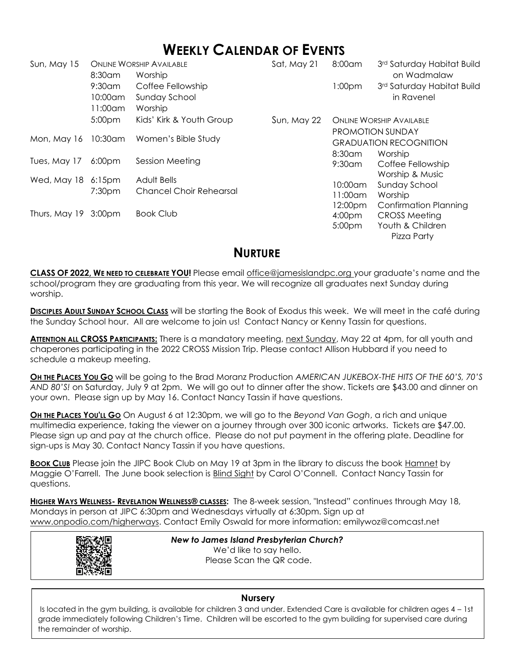## **WEEKLY CALENDAR OF EVENTS**

| Sun, May 15          |                     | <b>ONLINE WORSHIP AVAILABLE</b>                      | Sat, May 21 | 8:00am                          | 3rd Saturday Habitat Build   |
|----------------------|---------------------|------------------------------------------------------|-------------|---------------------------------|------------------------------|
|                      | 8:30am              | Worship                                              |             |                                 | on Wadmalaw                  |
|                      | $9:30$ am           | Coffee Fellowship                                    |             | 1:00 <sub>pm</sub>              | 3rd Saturday Habitat Build   |
|                      | 10:00am             | Sunday School                                        |             |                                 | in Ravenel                   |
|                      | 11:00am             | Worship                                              |             |                                 |                              |
|                      | 5:00 <sub>pm</sub>  | Kids' Kirk & Youth Group                             | Sun, May 22 | <b>ONLINE WORSHIP AVAILABLE</b> |                              |
|                      | 10:30am             | Women's Bible Study                                  |             | <b>PROMOTION SUNDAY</b>         |                              |
| Mon, May 16          |                     |                                                      |             | <b>GRADUATION RECOGNITION</b>   |                              |
| Tues, May 17         | 6:00 <sub>pm</sub>  |                                                      |             | 8:30am                          | Worship                      |
|                      |                     | Session Meeting                                      |             | $9:30$ am                       | Coffee Fellowship            |
| Wed, May 18          | $6:15$ pm<br>7:30pm | <b>Adult Bells</b><br><b>Chancel Choir Rehearsal</b> |             |                                 | Worship & Music              |
|                      |                     |                                                      |             | $10:00$ am                      | Sunday School                |
|                      |                     |                                                      |             | $11:00$ am                      | Worship                      |
|                      |                     |                                                      |             | 12:00pm                         | <b>Confirmation Planning</b> |
| Thurs, May 19 3:00pm |                     | <b>Book Club</b>                                     |             | 4:00 <sub>pm</sub>              | <b>CROSS Meeting</b>         |
|                      |                     |                                                      |             | 5:00pm                          | Youth & Children             |
|                      |                     |                                                      |             |                                 | Pizza Party                  |

## **NURTURE**

**CLASS OF 2022, WE NEED TO CELEBRATE YOU!** Please email [office@jamesislandpc.org](mailto:office@jamesislandpc.org) your graduate's name and the school/program they are graduating from this year. We will recognize all graduates next Sunday during worship.

**DISCIPLES ADULT SUNDAY SCHOOL CLASS** will be starting the Book of Exodus this week. We will meet in the café during the Sunday School hour. All are welcome to join us! Contact Nancy or Kenny Tassin for questions.

**ATTENTION ALL CROSS PARTICIPANTS:** There is a mandatory meeting, next Sunday, May 22 at 4pm, for all youth and chaperones participating in the 2022 CROSS Mission Trip. Please contact Allison Hubbard if you need to schedule a makeup meeting.

**OH THE PLACES YOU GO** will be going to the Brad Moranz Production *AMERICAN JUKEBOX-THE HITS OF THE 60'S, 70'S AND 80'S!* on Saturday, July 9 at 2pm. We will go out to dinner after the show. Tickets are \$43.00 and dinner on your own. Please sign up by May 16. Contact Nancy Tassin if have questions.

**OH THE PLACES YOU'LL GO** On August 6 at 12:30pm, we will go to the *Beyond Van Gogh*, a rich and unique multimedia experience, taking the viewer on a journey through over 300 iconic artworks. Tickets are \$47.00. Please sign up and pay at the church office. Please do not put payment in the offering plate. Deadline for sign-ups is May 30. Contact Nancy Tassin if you have questions.

**BOOK CLUB** Please join the JIPC Book Club on May 19 at 3pm in the library to discuss the book Hamnet by Maggie O'Farrell. The June book selection is Blind Sight by Carol O'Connell. Contact Nancy Tassin for questions.

**HIGHER WAYS WELLNESS- REVELATION WELLNESS® CLASSES:** The 8-week session, "Instead" continues through May 18, Mondays in person at JIPC 6:30pm and Wednesdays virtually at 6:30pm. Sign up at www.onpodio.com/higherways. Contact Emily Oswald for more information: emilywoz@comcast.net



I

*New to James Island Presbyterian Church?* We'd like to say hello. Please Scan the QR code.

### **Nursery**

Is located in the gym building, is available for children 3 and under. Extended Care is available for children ages 4 – 1st grade immediately following Children's Time. Children will be escorted to the gym building for supervised care during the remainder of worship.